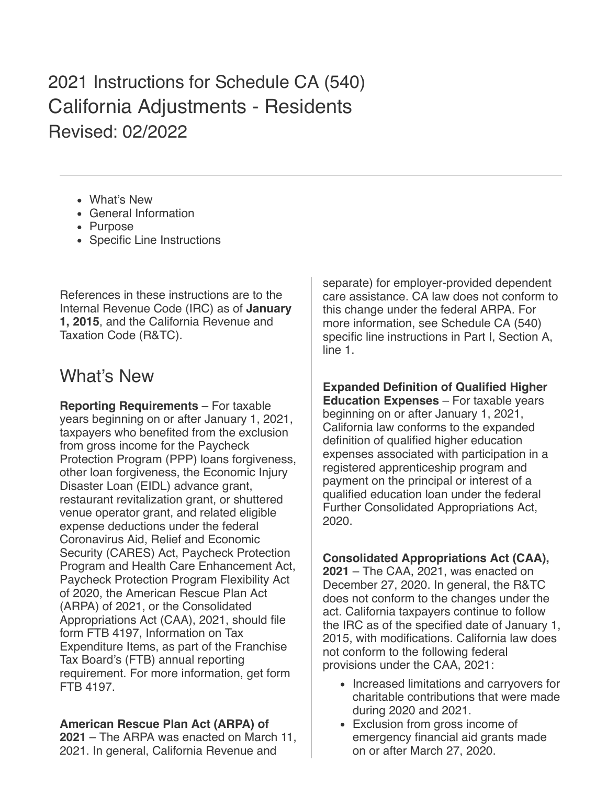2021 Instructions for Schedule CA (540) California Adjustments - Residents Revised: 02/2022

- [What's New](#page-0-0)
- [General Information](#page-1-0)
- [Purpose](#page-3-0)
- [Specific Line Instructions](#page-3-1)

References in these instructions are to the Internal Revenue Code (IRC) as of **January 1, 2015**, and the California Revenue and Taxation Code (R&TC).

# <span id="page-0-0"></span>What's New

**Reporting Requirements** – For taxable years beginning on or after January 1, 2021, taxpayers who benefited from the exclusion from gross income for the Paycheck Protection Program (PPP) loans forgiveness, other loan forgiveness, the Economic Injury Disaster Loan (EIDL) advance grant, restaurant revitalization grant, or shuttered venue operator grant, and related eligible expense deductions under the federal Coronavirus Aid, Relief and Economic Security (CARES) Act, Paycheck Protection Program and Health Care Enhancement Act, Paycheck Protection Program Flexibility Act of 2020, the American Rescue Plan Act (ARPA) of 2021, or the Consolidated Appropriations Act (CAA), 2021, should file form FTB 4197, Information on Tax Expenditure Items, as part of the Franchise Tax Board's (FTB) annual reporting requirement. For more information, get form FTB 4197.

## **American Rescue Plan Act (ARPA) of**

**2021** – The ARPA was enacted on March 11, 2021. In general, California Revenue and

separate) for employer-provided dependent care assistance. CA law does not conform to this change under the federal ARPA. For more information, see Schedule CA (540) specific line instructions in Part I, Section A, line 1.

**Expanded Definition of Qualified Higher Education Expenses** – For taxable years beginning on or after January 1, 2021, California law conforms to the expanded definition of qualified higher education expenses associated with participation in a registered apprenticeship program and payment on the principal or interest of a qualified education loan under the federal Further Consolidated Appropriations Act, 2020.

### **Consolidated Appropriations Act (CAA),**

**2021** – The CAA, 2021, was enacted on December 27, 2020. In general, the R&TC does not conform to the changes under the act. California taxpayers continue to follow the IRC as of the specified date of January 1, 2015, with modifications. California law does not conform to the following federal provisions under the CAA, 2021:

- Increased limitations and carryovers for charitable contributions that were made during 2020 and 2021.
- Exclusion from gross income of emergency financial aid grants made on or after March 27, 2020.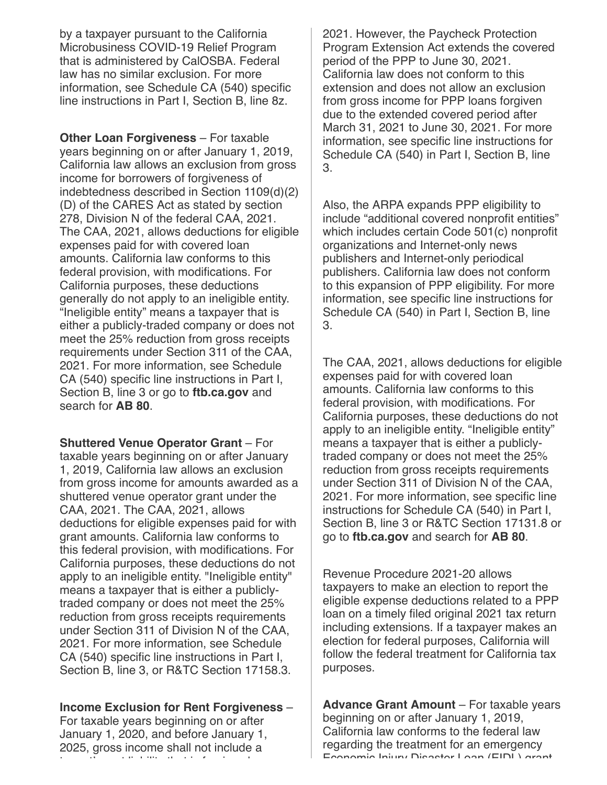by a taxpayer pursuant to the California Microbusiness COVID-19 Relief Program that is administered by CalOSBA. Federal law has no similar exclusion. For more information, see Schedule CA (540) specific line instructions in Part I, Section B, line 8z.

**Other Loan Forgiveness** – For taxable years beginning on or after January 1, 2019, California law allows an exclusion from gross income for borrowers of forgiveness of indebtedness described in Section 1109(d)(2) (D) of the CARES Act as stated by section 278, Division N of the federal CAA, 2021. The CAA, 2021, allows deductions for eligible expenses paid for with covered loan amounts. California law conforms to this federal provision, with modifications. For California purposes, these deductions generally do not apply to an ineligible entity. "Ineligible entity" means a taxpayer that is either a publicly-traded company or does not meet the 25% reduction from gross receipts requirements under Section 311 of the CAA, 2021. For more information, see Schedule CA (540) specific line instructions in Part I, Section B, line 3 or go to **ftb.ca.gov** and search for **AB 80**.

**Shuttered Venue Operator Grant** – For taxable years beginning on or after January 1, 2019, California law allows an exclusion from gross income for amounts awarded as a shuttered venue operator grant under the CAA, 2021. The CAA, 2021, allows deductions for eligible expenses paid for with grant amounts. California law conforms to this federal provision, with modifications. For California purposes, these deductions do not apply to an ineligible entity. "Ineligible entity" means a taxpayer that is either a publiclytraded company or does not meet the 25% reduction from gross receipts requirements under Section 311 of Division N of the CAA, 2021. For more information, see Schedule CA (540) specific line instructions in Part I, Section B, line 3, or R&TC Section 17158.3.

#### **Income Exclusion for Rent Forgiveness** –

For taxable years beginning on or after January 1, 2020, and before January 1, 2025, gross income shall not include a t t' t li bilit th t i f i b

2021. However, the Paycheck Protection Program Extension Act extends the covered period of the PPP to June 30, 2021. California law does not conform to this extension and does not allow an exclusion from gross income for PPP loans forgiven due to the extended covered period after March 31, 2021 to June 30, 2021. For more information, see specific line instructions for Schedule CA (540) in Part I, Section B, line 3.

Also, the ARPA expands PPP eligibility to include "additional covered nonprofit entities" which includes certain Code 501(c) nonprofit organizations and Internet-only news publishers and Internet-only periodical publishers. California law does not conform to this expansion of PPP eligibility. For more information, see specific line instructions for Schedule CA (540) in Part I, Section B, line 3.

The CAA, 2021, allows deductions for eligible expenses paid for with covered loan amounts. California law conforms to this federal provision, with modifications. For California purposes, these deductions do not apply to an ineligible entity. "Ineligible entity" means a taxpayer that is either a publiclytraded company or does not meet the 25% reduction from gross receipts requirements under Section 311 of Division N of the CAA, 2021. For more information, see specific line instructions for Schedule CA (540) in Part I, Section B, line 3 or R&TC Section 17131.8 or go to **ftb.ca.gov** and search for **AB 80**.

Revenue Procedure 2021-20 allows taxpayers to make an election to report the eligible expense deductions related to a PPP loan on a timely filed original 2021 tax return including extensions. If a taxpayer makes an election for federal purposes, California will follow the federal treatment for California tax purposes.

<span id="page-1-0"></span>**Advance Grant Amount** – For taxable years beginning on or after January 1, 2019, California law conforms to the federal law regarding the treatment for an emergency Economic Injury Disaster Loan (EIDL) grant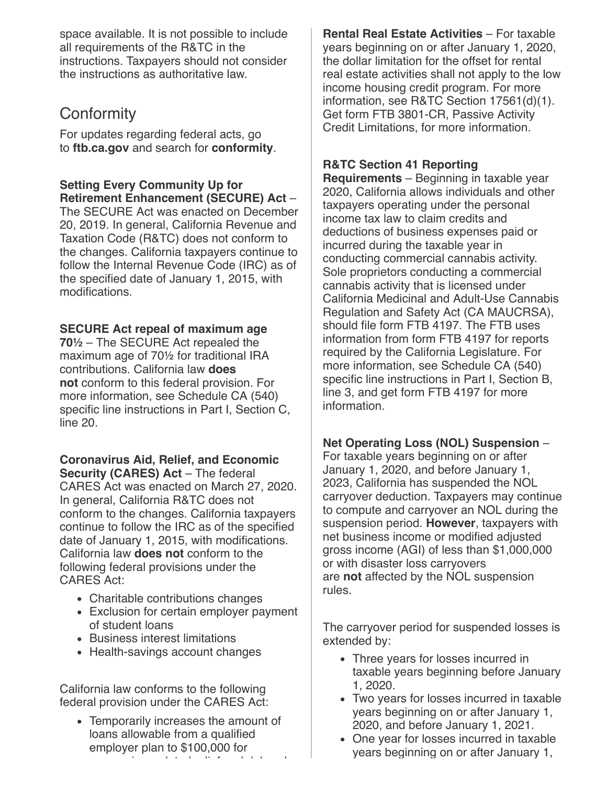space available. It is not possible to include all requirements of the R&TC in the instructions. Taxpayers should not consider the instructions as authoritative law.

# **Conformity**

For updates regarding federal acts, go to **ftb.ca.gov** and search for **conformity**.

**Setting Every Community Up for Retirement Enhancement (SECURE) Act** –

The SECURE Act was enacted on December 20, 2019. In general, California Revenue and Taxation Code (R&TC) does not conform to the changes. California taxpayers continue to follow the Internal Revenue Code (IRC) as of the specified date of January 1, 2015, with modifications.

#### **SECURE Act repeal of maximum age**

**70½** – The SECURE Act repealed the maximum age of 70½ for traditional IRA contributions. California law **does not** conform to this federal provision. For more information, see Schedule CA (540) specific line instructions in Part I, Section C, line 20.

**Coronavirus Aid, Relief, and Economic Security (CARES) Act** – The federal

CARES Act was enacted on March 27, 2020. In general, California R&TC does not conform to the changes. California taxpayers continue to follow the IRC as of the specified date of January 1, 2015, with modifications. California law **does not** conform to the following federal provisions under the CARES Act:

- Charitable contributions changes
- Exclusion for certain employer payment of student loans
- Business interest limitations
- Health-savings account changes

California law conforms to the following federal provision under the CARES Act:

Temporarily increases the amount of loans allowable from a qualified employer plan to \$100,000 for

i l t d li f d d l b

**Rental Real Estate Activities** – For taxable years beginning on or after January 1, 2020, the dollar limitation for the offset for rental real estate activities shall not apply to the low income housing credit program. For more information, see R&TC Section 17561(d)(1). Get form FTB 3801-CR, Passive Activity Credit Limitations, for more information.

#### **R&TC Section 41 Reporting**

**Requirements** – Beginning in taxable year 2020, California allows individuals and other taxpayers operating under the personal income tax law to claim credits and deductions of business expenses paid or incurred during the taxable year in conducting commercial cannabis activity. Sole proprietors conducting a commercial cannabis activity that is licensed under California Medicinal and Adult-Use Cannabis Regulation and Safety Act (CA MAUCRSA), should file form FTB 4197. The FTB uses information from form FTB 4197 for reports required by the California Legislature. For more information, see Schedule CA (540) specific line instructions in Part I, Section B, line 3, and get form FTB 4197 for more information.

#### **Net Operating Loss (NOL) Suspension** –

For taxable years beginning on or after January 1, 2020, and before January 1, 2023, California has suspended the NOL carryover deduction. Taxpayers may continue to compute and carryover an NOL during the suspension period. **However**, taxpayers with net business income or modified adjusted gross income (AGI) of less than \$1,000,000 or with disaster loss carryovers are **not** affected by the NOL suspension rules.

The carryover period for suspended losses is extended by:

- Three years for losses incurred in taxable years beginning before January 1, 2020.
- Two years for losses incurred in taxable years beginning on or after January 1, 2020, and before January 1, 2021.
- One year for losses incurred in taxable years beginning on or after January 1,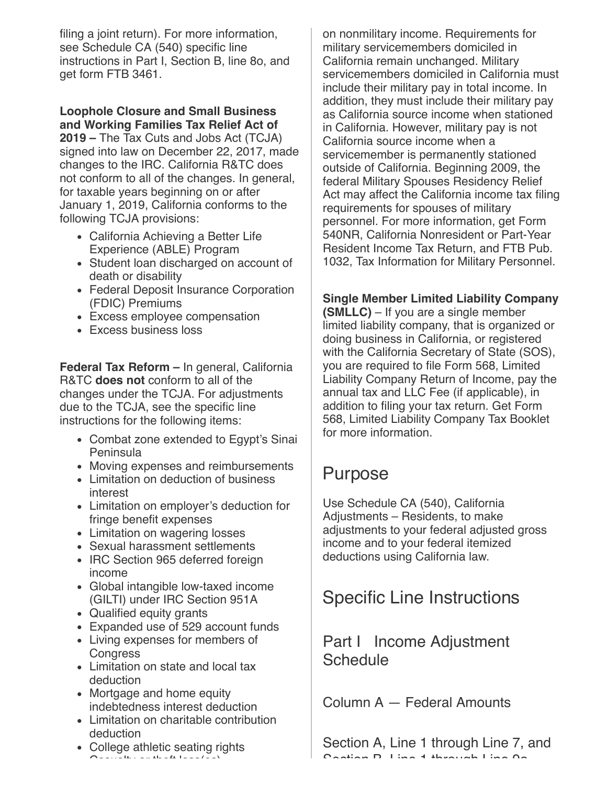filing a joint return). For more information, see Schedule CA (540) specific line instructions in Part I, Section B, line 8o, and get form FTB 3461.

#### **Loophole Closure and Small Business and Working Families Tax Relief Act of**

**2019 –** The Tax Cuts and Jobs Act (TCJA) signed into law on December 22, 2017, made changes to the IRC. California R&TC does not conform to all of the changes. In general, for taxable years beginning on or after January 1, 2019, California conforms to the following TCJA provisions:

- California Achieving a Better Life Experience (ABLE) Program
- Student loan discharged on account of death or disability
- Federal Deposit Insurance Corporation (FDIC) Premiums
- Excess employee compensation
- Excess business loss

**Federal Tax Reform –** In general, California R&TC **does not** conform to all of the changes under the TCJA. For adjustments due to the TCJA, see the specific line instructions for the following items:

- Combat zone extended to Egypt's Sinai Peninsula
- Moving expenses and reimbursements
- Limitation on deduction of business interest
- Limitation on employer's deduction for fringe benefit expenses
- Limitation on wagering losses
- Sexual harassment settlements
- IRC Section 965 deferred foreign income
- Global intangible low-taxed income (GILTI) under IRC Section 951A
- Qualified equity grants
- Expanded use of 529 account funds
- Living expenses for members of **Congress**
- Limitation on state and local tax deduction
- Mortgage and home equity indebtedness interest deduction
- Limitation on charitable contribution deduction
- College athletic seating rights  $\sim$   $\sim$  these solutions in the set  $\sim$  (see )

on nonmilitary income. Requirements for military servicemembers domiciled in California remain unchanged. Military servicemembers domiciled in California must include their military pay in total income. In addition, they must include their military pay as California source income when stationed in California. However, military pay is not California source income when a servicemember is permanently stationed outside of California. Beginning 2009, the federal Military Spouses Residency Relief Act may affect the California income tax filing requirements for spouses of military personnel. For more information, get Form 540NR, California Nonresident or Part-Year Resident Income Tax Return, and FTB Pub. 1032, Tax Information for Military Personnel.

### **Single Member Limited Liability Company**

**(SMLLC)** – If you are a single member limited liability company, that is organized or doing business in California, or registered with the California Secretary of State (SOS), you are required to file Form 568, Limited Liability Company Return of Income, pay the annual tax and LLC Fee (if applicable), in addition to filing your tax return. Get Form 568, Limited Liability Company Tax Booklet for more information.

# <span id="page-3-0"></span>Purpose

Use Schedule CA (540), California Adjustments – Residents, to make adjustments to your federal adjusted gross income and to your federal itemized deductions using California law.

# <span id="page-3-1"></span>Specific Line Instructions

# Part I Income Adjustment **Schedule**

Column A — Federal Amounts

Section A, Line 1 through Line 7, and Section B Line 1 through Line 9a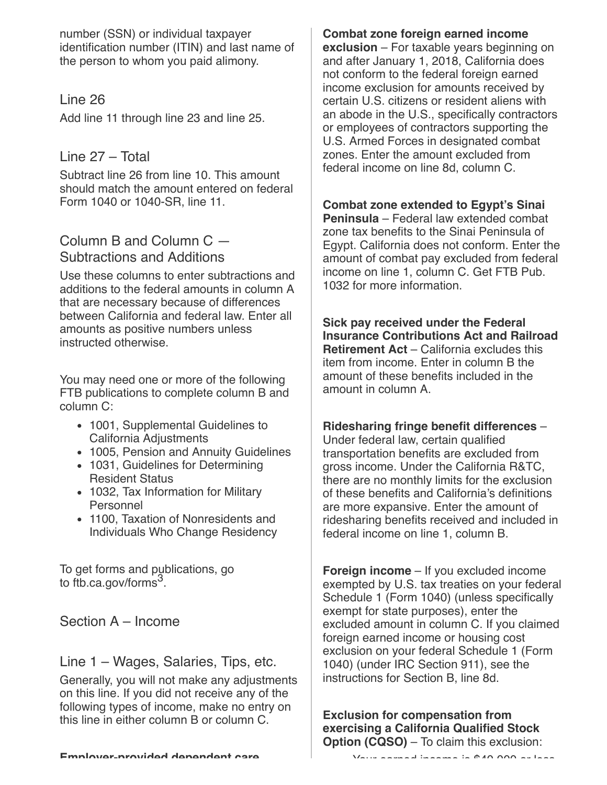number (SSN) or individual taxpayer identification number (ITIN) and last name of the person to whom you paid alimony.

### Line 26

Add line 11 through line 23 and line 25.

# Line 27 – Total

Subtract line 26 from line 10. This amount should match the amount entered on federal Form 1040 or 1040-SR, line 11.

## Column B and Column C — Subtractions and Additions

Use these columns to enter subtractions and additions to the federal amounts in column A that are necessary because of differences between California and federal law. Enter all amounts as positive numbers unless instructed otherwise.

You may need one or more of the following FTB publications to complete column B and column C:

- 1001, Supplemental Guidelines to California Adjustments
- 1005, Pension and Annuity Guidelines
- 1031, Guidelines for Determining Resident Status
- 1032, Tax Information for Military Personnel
- 1100, Taxation of Nonresidents and Individuals Who Change Residency

To get forms and publications, go to [ftb.ca.gov/forms](https://www.ftb.ca.gov/forms/search/index.aspx) $^3$ .

Section A – Income

Line 1 – Wages, Salaries, Tips, etc.

Generally, you will not make any adjustments on this line. If you did not receive any of the following types of income, make no entry on this line in either column B or column C.

**Combat zone foreign earned income exclusion** – For taxable years beginning on and after January 1, 2018, California does not conform to the federal foreign earned income exclusion for amounts received by certain U.S. citizens or resident aliens with an abode in the U.S., specifically contractors or employees of contractors supporting the U.S. Armed Forces in designated combat zones. Enter the amount excluded from federal income on line 8d, column C.

**Combat zone extended to Egypt's Sinai**

**Peninsula** – Federal law extended combat zone tax benefits to the Sinai Peninsula of Egypt. California does not conform. Enter the amount of combat pay excluded from federal income on line 1, column C. Get FTB Pub. 1032 for more information.

**Sick pay received under the Federal Insurance Contributions Act and Railroad Retirement Act** – California excludes this item from income. Enter in column B the amount of these benefits included in the amount in column A.

#### **Ridesharing fringe benefit differences** –

Under federal law, certain qualified transportation benefits are excluded from gross income. Under the California R&TC, there are no monthly limits for the exclusion of these benefits and California's definitions are more expansive. Enter the amount of ridesharing benefits received and included in federal income on line 1, column B.

**Foreign income** – If you excluded income exempted by U.S. tax treaties on your federal Schedule 1 (Form 1040) (unless specifically exempt for state purposes), enter the excluded amount in column C. If you claimed foreign earned income or housing cost exclusion on your federal Schedule 1 (Form 1040) (under IRC Section 911), see the instructions for Section B, line 8d.

**Exclusion for compensation from exercising a California Qualified Stock Option (CQSO)** – To claim this exclusion:

Your earned income is \$40 000 or less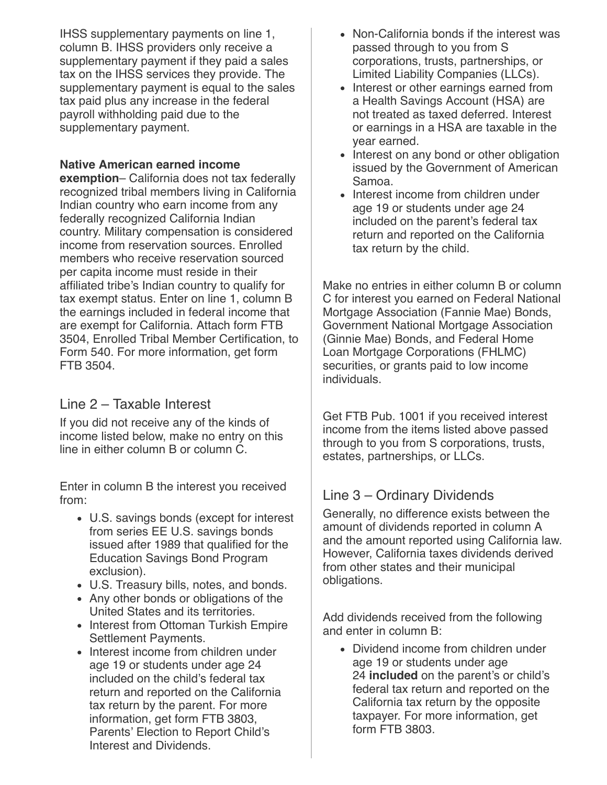IHSS supplementary payments on line 1, column B. IHSS providers only receive a supplementary payment if they paid a sales tax on the IHSS services they provide. The supplementary payment is equal to the sales tax paid plus any increase in the federal payroll withholding paid due to the supplementary payment.

#### **Native American earned income**

**exemption**– California does not tax federally recognized tribal members living in California Indian country who earn income from any federally recognized California Indian country. Military compensation is considered income from reservation sources. Enrolled members who receive reservation sourced per capita income must reside in their affiliated tribe's Indian country to qualify for tax exempt status. Enter on line 1, column B the earnings included in federal income that are exempt for California. Attach form FTB 3504, Enrolled Tribal Member Certification, to Form 540. For more information, get form FTB 3504.

## Line 2 – Taxable Interest

If you did not receive any of the kinds of income listed below, make no entry on this line in either column B or column C.

Enter in column B the interest you received from:

- U.S. savings bonds (except for interest from series EE U.S. savings bonds issued after 1989 that qualified for the Education Savings Bond Program exclusion).
- U.S. Treasury bills, notes, and bonds.
- Any other bonds or obligations of the United States and its territories.
- Interest from Ottoman Turkish Empire Settlement Payments.
- Interest income from children under age 19 or students under age 24 included on the child's federal tax return and reported on the California tax return by the parent. For more information, get form FTB 3803, Parents' Election to Report Child's Interest and Dividends.
- Non-California bonds if the interest was passed through to you from S corporations, trusts, partnerships, or Limited Liability Companies (LLCs).
- Interest or other earnings earned from a Health Savings Account (HSA) are not treated as taxed deferred. Interest or earnings in a HSA are taxable in the year earned.
- Interest on any bond or other obligation issued by the Government of American Samoa.
- Interest income from children under age 19 or students under age 24 included on the parent's federal tax return and reported on the California tax return by the child.

Make no entries in either column B or column C for interest you earned on Federal National Mortgage Association (Fannie Mae) Bonds, Government National Mortgage Association (Ginnie Mae) Bonds, and Federal Home Loan Mortgage Corporations (FHLMC) securities, or grants paid to low income **individuals** 

Get FTB Pub. 1001 if you received interest income from the items listed above passed through to you from S corporations, trusts, estates, partnerships, or LLCs.

# Line 3 – Ordinary Dividends

Generally, no difference exists between the amount of dividends reported in column A and the amount reported using California law. However, California taxes dividends derived from other states and their municipal obligations.

Add dividends received from the following and enter in column B:

Dividend income from children under age 19 or students under age 24 **included** on the parent's or child's federal tax return and reported on the California tax return by the opposite taxpayer. For more information, get form FTB 3803.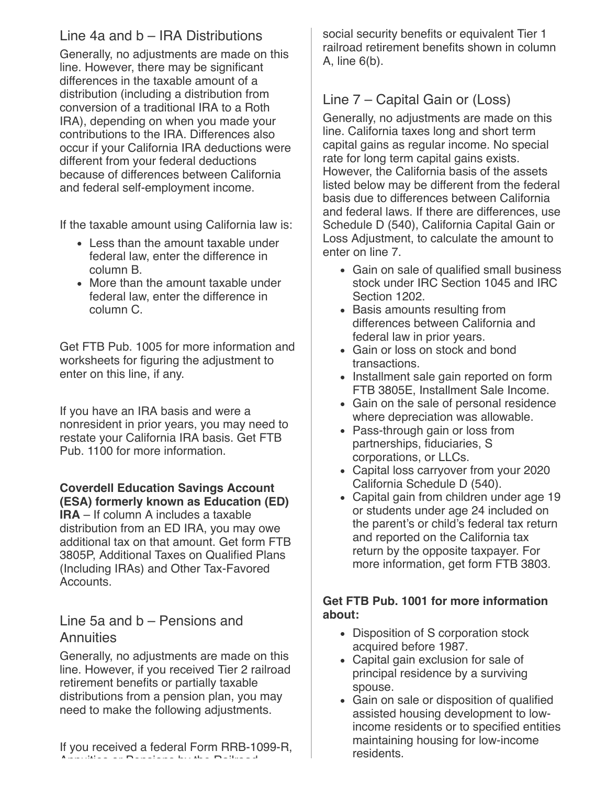# Line 4a and b – IRA Distributions

Generally, no adjustments are made on this line. However, there may be significant differences in the taxable amount of a distribution (including a distribution from conversion of a traditional IRA to a Roth IRA), depending on when you made your contributions to the IRA. Differences also occur if your California IRA deductions were different from your federal deductions because of differences between California and federal self-employment income.

If the taxable amount using California law is:

- Less than the amount taxable under federal law, enter the difference in column B.
- More than the amount taxable under federal law, enter the difference in column C.

Get FTB Pub. 1005 for more information and worksheets for figuring the adjustment to enter on this line, if any.

If you have an IRA basis and were a nonresident in prior years, you may need to restate your California IRA basis. Get FTB Pub. 1100 for more information.

#### **Coverdell Education Savings Account (ESA) formerly known as Education (ED)**

**IRA** – If column A includes a taxable distribution from an ED IRA, you may owe additional tax on that amount. Get form FTB 3805P, Additional Taxes on Qualified Plans (Including IRAs) and Other Tax-Favored **Accounts** 

# Line 5a and b – Pensions and **Annuities**

Generally, no adjustments are made on this line. However, if you received Tier 2 railroad retirement benefits or partially taxable distributions from a pension plan, you may need to make the following adjustments.

If you received a federal Form RRB-1099-R, Annuities or Pensions by the Railroad

social security benefits or equivalent Tier 1 railroad retirement benefits shown in column A, line 6(b).

# Line 7 – Capital Gain or (Loss)

Generally, no adjustments are made on this line. California taxes long and short term capital gains as regular income. No special rate for long term capital gains exists. However, the California basis of the assets listed below may be different from the federal basis due to differences between California and federal laws. If there are differences, use Schedule D (540), California Capital Gain or Loss Adjustment, to calculate the amount to enter on line 7.

- Gain on sale of qualified small business stock under IRC Section 1045 and IRC Section 1202.
- Basis amounts resulting from differences between California and federal law in prior years.
- Gain or loss on stock and bond **transactions**
- Installment sale gain reported on form FTB 3805E, Installment Sale Income.
- Gain on the sale of personal residence where depreciation was allowable.
- Pass-through gain or loss from partnerships, fiduciaries, S corporations, or LLCs.
- Capital loss carryover from your 2020 California Schedule D (540).
- Capital gain from children under age 19 or students under age 24 included on the parent's or child's federal tax return and reported on the California tax return by the opposite taxpayer. For more information, get form FTB 3803.

#### **Get FTB Pub. 1001 for more information about:**

- Disposition of S corporation stock acquired before 1987.
- Capital gain exclusion for sale of principal residence by a surviving spouse.
- Gain on sale or disposition of qualified assisted housing development to lowincome residents or to specified entities maintaining housing for low‑income residents.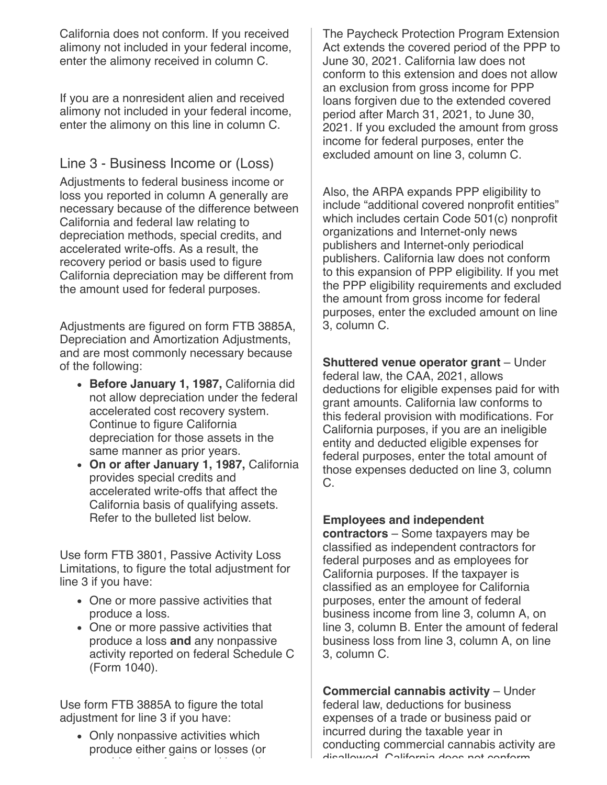California does not conform. If you received alimony not included in your federal income, enter the alimony received in column C.

If you are a nonresident alien and received alimony not included in your federal income, enter the alimony on this line in column C.

## Line 3 - Business Income or (Loss)

Adjustments to federal business income or loss you reported in column A generally are necessary because of the difference between California and federal law relating to depreciation methods, special credits, and accelerated write-offs. As a result, the recovery period or basis used to figure California depreciation may be different from the amount used for federal purposes.

Adjustments are figured on form FTB 3885A, Depreciation and Amortization Adjustments, and are most commonly necessary because of the following:

- **Before January 1, 1987,** California did not allow depreciation under the federal accelerated cost recovery system. Continue to figure California depreciation for those assets in the same manner as prior years.
- **On or after January 1, 1987,** California provides special credits and accelerated write-offs that affect the California basis of qualifying assets. Refer to the bulleted list below.

Use form FTB 3801, Passive Activity Loss Limitations, to figure the total adjustment for line 3 if you have:

- One or more passive activities that produce a loss.
- One or more passive activities that produce a loss **and** any nonpassive activity reported on federal Schedule C (Form 1040).

Use form FTB 3885A to figure the total adjustment for line 3 if you have:

• Only nonpassive activities which produce either gains or losses (or bi i dan bi i dan bi kacamatan da kacamatan da kacamatan da kacamatan da kacamatan da kacamatan da kacamatan d<br>Kacamatan da kacamatan da kacamatan da kacamatan da kacamatan da kacamatan da kacamatan da kacamatan da kacama

The Paycheck Protection Program Extension Act extends the covered period of the PPP to June 30, 2021. California law does not conform to this extension and does not allow an exclusion from gross income for PPP loans forgiven due to the extended covered period after March 31, 2021, to June 30, 2021. If you excluded the amount from gross income for federal purposes, enter the excluded amount on line 3, column C.

Also, the ARPA expands PPP eligibility to include "additional covered nonprofit entities" which includes certain Code 501(c) nonprofit organizations and Internet-only news publishers and Internet-only periodical publishers. California law does not conform to this expansion of PPP eligibility. If you met the PPP eligibility requirements and excluded the amount from gross income for federal purposes, enter the excluded amount on line 3, column C.

**Shuttered venue operator grant** – Under federal law, the CAA, 2021, allows deductions for eligible expenses paid for with grant amounts. California law conforms to this federal provision with modifications. For California purposes, if you are an ineligible entity and deducted eligible expenses for federal purposes, enter the total amount of those expenses deducted on line 3, column C.

#### **Employees and independent**

**contractors** – Some taxpayers may be classified as independent contractors for federal purposes and as employees for California purposes. If the taxpayer is classified as an employee for California purposes, enter the amount of federal business income from line 3, column A, on line 3, column B. Enter the amount of federal business loss from line 3, column A, on line 3, column C.

**Commercial cannabis activity** – Under federal law, deductions for business expenses of a trade or business paid or incurred during the taxable year in conducting commercial cannabis activity are disallowed California does not conform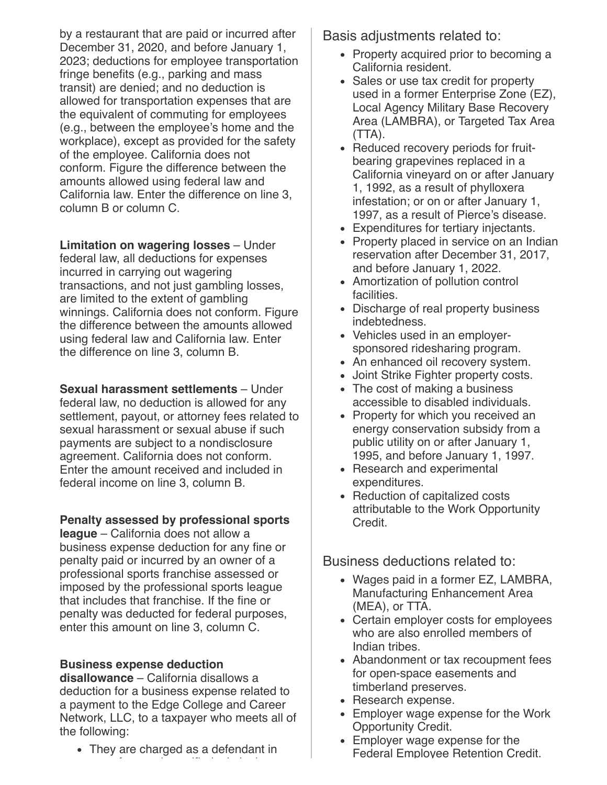by a restaurant that are paid or incurred after December 31, 2020, and before January 1, 2023; deductions for employee transportation fringe benefits (e.g., parking and mass transit) are denied; and no deduction is allowed for transportation expenses that are the equivalent of commuting for employees (e.g., between the employee's home and the workplace), except as provided for the safety of the employee. California does not conform. Figure the difference between the amounts allowed using federal law and California law. Enter the difference on line 3, column B or column C.

**Limitation on wagering losses** – Under federal law, all deductions for expenses incurred in carrying out wagering transactions, and not just gambling losses, are limited to the extent of gambling winnings. California does not conform. Figure the difference between the amounts allowed using federal law and California law. Enter the difference on line 3, column B.

**Sexual harassment settlements** – Under federal law, no deduction is allowed for any settlement, payout, or attorney fees related to sexual harassment or sexual abuse if such payments are subject to a nondisclosure agreement. California does not conform. Enter the amount received and included in federal income on line 3, column B.

#### **Penalty assessed by professional sports**

**league** – California does not allow a business expense deduction for any fine or penalty paid or incurred by an owner of a professional sports franchise assessed or imposed by the professional sports league that includes that franchise. If the fine or penalty was deducted for federal purposes, enter this amount on line 3, column C.

#### **Business expense deduction**

**disallowance** – California disallows a deduction for a business expense related to a payment to the Edge College and Career Network, LLC, to a taxpayer who meets all of the following:

• They are charged as a defendant in

f l'anticolation de l'anticolation de l'anticolation de l'anticolation de l'anticolation de l'anticolation de<br>L'anticolation de l'anticolation de l'anticolation de l'anticolation de l'anticolation de l'anticolation de l'

Basis adjustments related to:

- Property acquired prior to becoming a California resident.
- Sales or use tax credit for property used in a former Enterprise Zone (EZ), Local Agency Military Base Recovery Area (LAMBRA), or Targeted Tax Area (TTA).
- Reduced recovery periods for fruitbearing grapevines replaced in a California vineyard on or after January 1, 1992, as a result of phylloxera infestation; or on or after January 1, 1997, as a result of Pierce's disease.
- Expenditures for tertiary injectants.
- Property placed in service on an Indian reservation after December 31, 2017, and before January 1, 2022.
- Amortization of pollution control facilities.
- Discharge of real property business indebtedness.
- Vehicles used in an employersponsored ridesharing program.
- An enhanced oil recovery system.
- Joint Strike Fighter property costs.
- The cost of making a business accessible to disabled individuals.
- Property for which you received an energy conservation subsidy from a public utility on or after January 1, 1995, and before January 1, 1997.
- Research and experimental expenditures.
- Reduction of capitalized costs attributable to the Work Opportunity Credit.

Business deductions related to:

- Wages paid in a former EZ, LAMBRA, Manufacturing Enhancement Area (MEA), or TTA.
- Certain employer costs for employees who are also enrolled members of Indian tribes.
- Abandonment or tax recoupment fees for open-space easements and timberland preserves.
- Research expense.
- Employer wage expense for the Work Opportunity Credit.
- Employer wage expense for the Federal Employee Retention Credit.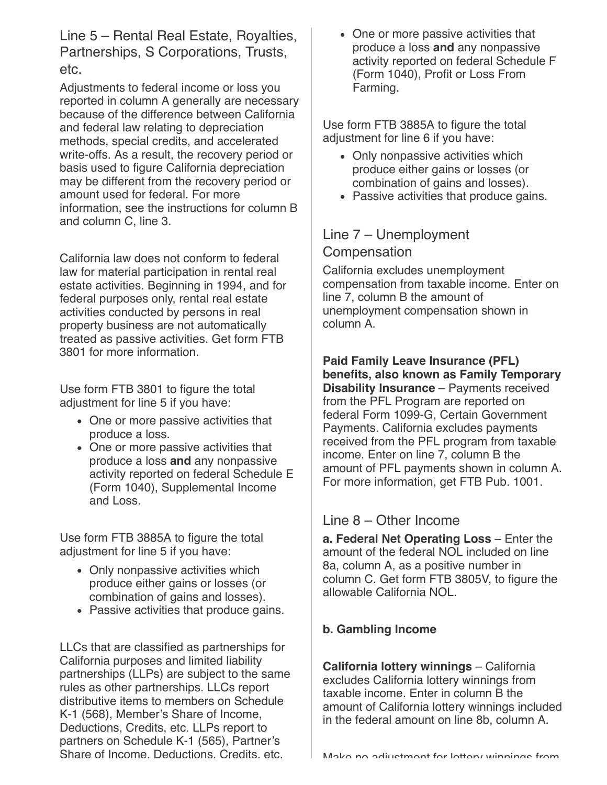Line 5 – Rental Real Estate, Royalties, Partnerships, S Corporations, Trusts, etc.

Adjustments to federal income or loss you reported in column A generally are necessary because of the difference between California and federal law relating to depreciation methods, special credits, and accelerated write-offs. As a result, the recovery period or basis used to figure California depreciation may be different from the recovery period or amount used for federal. For more information, see the instructions for column B and column C, line 3.

California law does not conform to federal law for material participation in rental real estate activities. Beginning in 1994, and for federal purposes only, rental real estate activities conducted by persons in real property business are not automatically treated as passive activities. Get form FTB 3801 for more information.

Use form FTB 3801 to figure the total adjustment for line 5 if you have:

- One or more passive activities that produce a loss.
- One or more passive activities that produce a loss **and** any nonpassive activity reported on federal Schedule E (Form 1040), Supplemental Income and Loss.

Use form FTB 3885A to figure the total adjustment for line 5 if you have:

- Only nonpassive activities which produce either gains or losses (or combination of gains and losses).
- Passive activities that produce gains.

LLCs that are classified as partnerships for California purposes and limited liability partnerships (LLPs) are subject to the same rules as other partnerships. LLCs report distributive items to members on Schedule K-1 (568), Member's Share of Income. Deductions, Credits, etc. LLPs report to partners on Schedule K-1 (565), Partner's Share of Income, Deductions, Credits, etc.

• One or more passive activities that produce a loss **and** any nonpassive activity reported on federal Schedule F (Form 1040), Profit or Loss From Farming.

Use form FTB 3885A to figure the total adjustment for line 6 if you have:

- Only nonpassive activities which produce either gains or losses (or combination of gains and losses).
- Passive activities that produce gains.

Line 7 – Unemployment Compensation

California excludes unemployment compensation from taxable income. Enter on line 7, column B the amount of unemployment compensation shown in column A.

#### **Paid Family Leave Insurance (PFL) benefits, also known as Family Temporary Disability Insurance** – Payments received from the PFL Program are reported on federal Form 1099-G, Certain Government Payments. California excludes payments received from the PFL program from taxable income. Enter on line 7, column B the amount of PFL payments shown in column A. For more information, get FTB Pub. 1001.

## Line 8 – Other Income

**a. Federal Net Operating Loss** – Enter the amount of the federal NOL included on line 8a, column A, as a positive number in column C. Get form FTB 3805V, to figure the allowable California NOL.

## **b. Gambling Income**

**California lottery winnings** – California excludes California lottery winnings from taxable income. Enter in column B the amount of California lottery winnings included in the federal amount on line 8b, column A.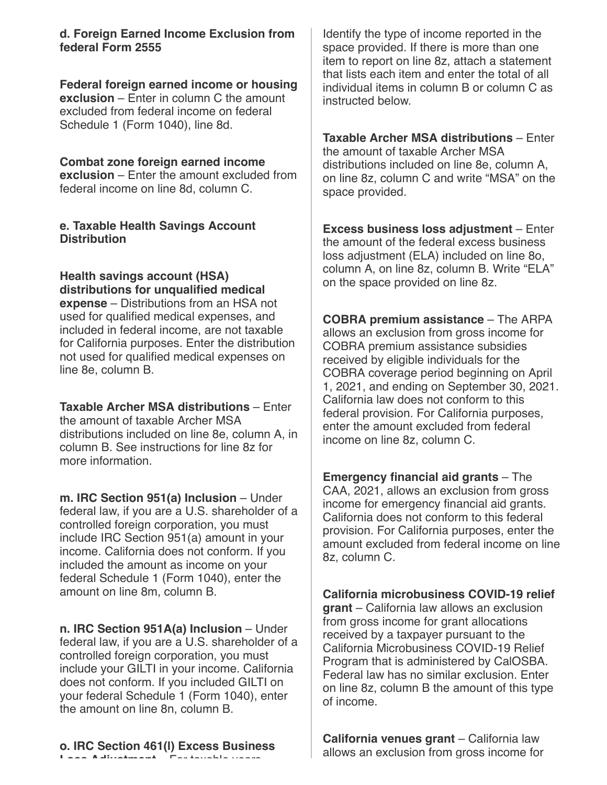**d. Foreign Earned Income Exclusion from federal Form 2555**

**Federal foreign earned income or housing exclusion** – Enter in column C the amount excluded from federal income on federal Schedule 1 (Form 1040), line 8d.

**Combat zone foreign earned income exclusion** – Enter the amount excluded from federal income on line 8d, column C.

#### **e. Taxable Health Savings Account Distribution**

**Health savings account (HSA) distributions for unqualified medical expense** – Distributions from an HSA not used for qualified medical expenses, and included in federal income, are not taxable for California purposes. Enter the distribution not used for qualified medical expenses on line 8e, column B.

**Taxable Archer MSA distributions** – Enter the amount of taxable Archer MSA distributions included on line 8e, column A, in column B. See instructions for line 8z for more information.

**m. IRC Section 951(a) Inclusion** – Under federal law, if you are a U.S. shareholder of a controlled foreign corporation, you must include IRC Section 951(a) amount in your income. California does not conform. If you included the amount as income on your federal Schedule 1 (Form 1040), enter the amount on line 8m, column B.

**n. IRC Section 951A(a) Inclusion** – Under federal law, if you are a U.S. shareholder of a controlled foreign corporation, you must include your GILTI in your income. California does not conform. If you included GILTI on your federal Schedule 1 (Form 1040), enter the amount on line 8n, column B.

**o. IRC Section 461(l) Excess Business Loss Adjustment** For taxable years

Identify the type of income reported in the space provided. If there is more than one item to report on line 8z, attach a statement that lists each item and enter the total of all individual items in column B or column C as instructed below.

**Taxable Archer MSA distributions** – Enter the amount of taxable Archer MSA distributions included on line 8e, column A, on line 8z, column C and write "MSA" on the space provided.

**Excess business loss adjustment** – Enter the amount of the federal excess business loss adjustment (ELA) included on line 8o, column A, on line 8z, column B. Write "ELA" on the space provided on line 8z.

**COBRA premium assistance** – The ARPA allows an exclusion from gross income for COBRA premium assistance subsidies received by eligible individuals for the COBRA coverage period beginning on April 1, 2021, and ending on September 30, 2021. California law does not conform to this federal provision. For California purposes, enter the amount excluded from federal income on line 8z, column C.

**Emergency financial aid grants** – The CAA, 2021, allows an exclusion from gross income for emergency financial aid grants. California does not conform to this federal provision. For California purposes, enter the amount excluded from federal income on line 8z, column C.

**California microbusiness COVID-19 relief grant** – California law allows an exclusion from gross income for grant allocations received by a taxpayer pursuant to the California Microbusiness COVID-19 Relief Program that is administered by CalOSBA. Federal law has no similar exclusion. Enter on line 8z, column B the amount of this type of income.

**California venues grant** – California law allows an exclusion from gross income for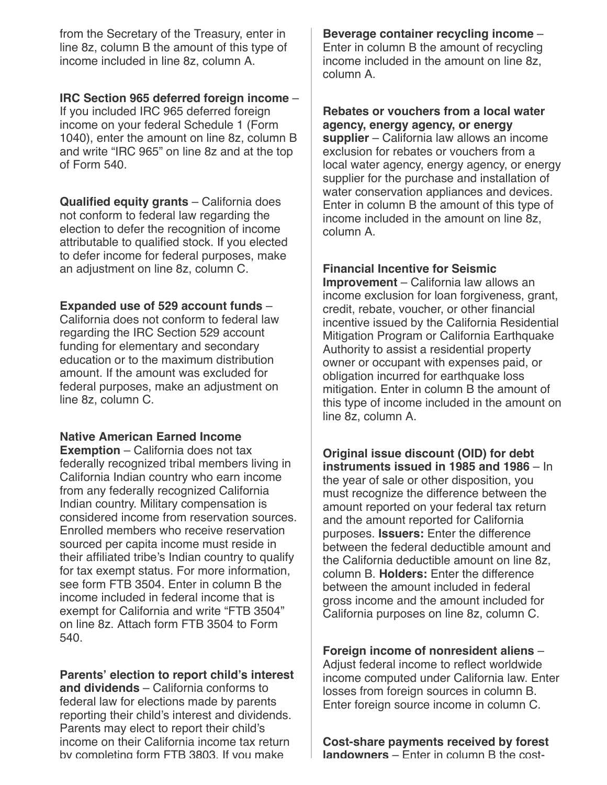from the Secretary of the Treasury, enter in line 8z, column B the amount of this type of income included in line 8z, column A.

#### **IRC Section 965 deferred foreign income** –

If you included IRC 965 deferred foreign income on your federal Schedule 1 (Form 1040), enter the amount on line 8z, column B and write "IRC 965" on line 8z and at the top of Form 540.

**Qualified equity grants** – California does not conform to federal law regarding the election to defer the recognition of income attributable to qualified stock. If you elected to defer income for federal purposes, make an adjustment on line 8z, column C.

#### **Expanded use of 529 account funds** –

California does not conform to federal law regarding the IRC Section 529 account funding for elementary and secondary education or to the maximum distribution amount. If the amount was excluded for federal purposes, make an adjustment on line 8z, column C.

#### **Native American Earned Income**

**Exemption** – California does not tax federally recognized tribal members living in California Indian country who earn income from any federally recognized California Indian country. Military compensation is considered income from reservation sources. Enrolled members who receive reservation sourced per capita income must reside in their affiliated tribe's Indian country to qualify for tax exempt status. For more information, see form FTB 3504. Enter in column B the income included in federal income that is exempt for California and write "FTB 3504" on line 8z. Attach form FTB 3504 to Form 540.

**Parents' election to report child's interest and dividends** – California conforms to federal law for elections made by parents reporting their child's interest and dividends. Parents may elect to report their child's income on their California income tax return by completing form FTB 3803. If you make

**Beverage container recycling income** – Enter in column B the amount of recycling income included in the amount on line 8z, column A.

**Rebates or vouchers from a local water agency, energy agency, or energy supplier** – California law allows an income exclusion for rebates or vouchers from a local water agency, energy agency, or energy supplier for the purchase and installation of water conservation appliances and devices. Enter in column B the amount of this type of income included in the amount on line 8z, column A.

#### **Financial Incentive for Seismic**

**Improvement** – California law allows an income exclusion for loan forgiveness, grant, credit, rebate, voucher, or other financial incentive issued by the California Residential Mitigation Program or California Earthquake Authority to assist a residential property owner or occupant with expenses paid, or obligation incurred for earthquake loss mitigation. Enter in column B the amount of this type of income included in the amount on line 8z, column A.

**Original issue discount (OID) for debt instruments issued in 1985 and 1986** – In the year of sale or other disposition, you must recognize the difference between the amount reported on your federal tax return and the amount reported for California purposes. **Issuers:** Enter the difference between the federal deductible amount and the California deductible amount on line 8z, column B. **Holders:** Enter the difference between the amount included in federal gross income and the amount included for California purposes on line 8z, column C.

**Foreign income of nonresident aliens** – Adjust federal income to reflect worldwide income computed under California law. Enter losses from foreign sources in column B. Enter foreign source income in column C.

**Cost-share payments received by forest landowners** – Enter in column B the cost-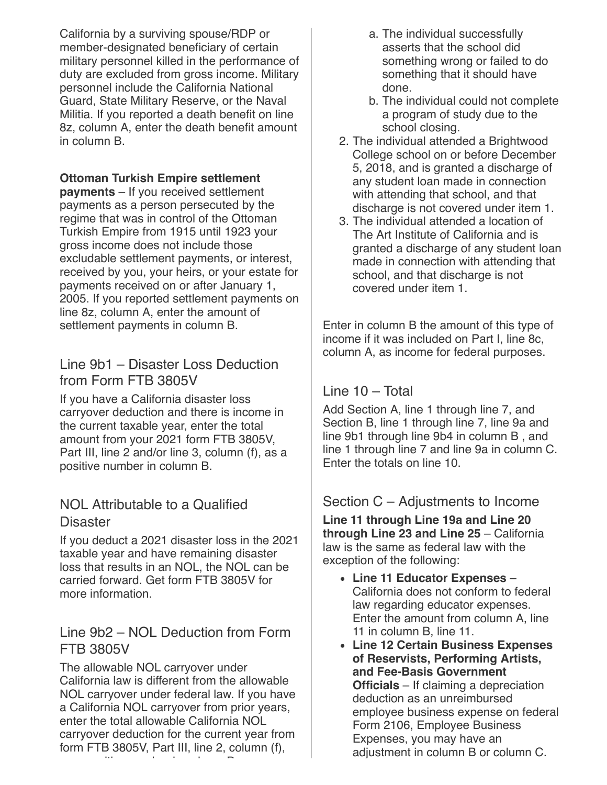California by a surviving spouse/RDP or member-designated beneficiary of certain military personnel killed in the performance of duty are excluded from gross income. Military personnel include the California National Guard, State Military Reserve, or the Naval Militia. If you reported a death benefit on line 8z, column A, enter the death benefit amount in column B.

#### **Ottoman Turkish Empire settlement**

**payments** – If you received settlement payments as a person persecuted by the regime that was in control of the Ottoman Turkish Empire from 1915 until 1923 your gross income does not include those excludable settlement payments, or interest, received by you, your heirs, or your estate for payments received on or after January 1, 2005. If you reported settlement payments on line 8z, column A, enter the amount of settlement payments in column B.

## Line 9b1 – Disaster Loss Deduction from Form FTB 3805V

If you have a California disaster loss carryover deduction and there is income in the current taxable year, enter the total amount from your 2021 form FTB 3805V, Part III, line 2 and/or line 3, column (f), as a positive number in column B.

## NOL Attributable to a Qualified **Disaster**

If you deduct a 2021 disaster loss in the 2021 taxable year and have remaining disaster loss that results in an NOL, the NOL can be carried forward. Get form FTB 3805V for more information.

### Line 9b2 – NOL Deduction from Form FTB 3805V

The allowable NOL carryover under California law is different from the allowable NOL carryover under federal law. If you have a California NOL carryover from prior years, enter the total allowable California NOL carryover deduction for the current year from form FTB 3805V, Part III, line 2, column (f), iti b i l B

- a. The individual successfully asserts that the school did something wrong or failed to do something that it should have done.
- b. The individual could not complete a program of study due to the school closing.
- 2. The individual attended a Brightwood College school on or before December 5, 2018, and is granted a discharge of any student loan made in connection with attending that school, and that discharge is not covered under item 1.
- 3. The individual attended a location of The Art Institute of California and is granted a discharge of any student loan made in connection with attending that school, and that discharge is not covered under item 1.

Enter in column B the amount of this type of income if it was included on Part I, line 8c, column A, as income for federal purposes.

### Line 10 – Total

Add Section A, line 1 through line 7, and Section B, line 1 through line 7, line 9a and line 9b1 through line 9b4 in column B , and line 1 through line 7 and line 9a in column C. Enter the totals on line 10.

### Section C – Adjustments to Income

**Line 11 through Line 19a and Line 20 through Line 23 and Line 25** – California law is the same as federal law with the exception of the following:

- **Line 11 Educator Expenses** California does not conform to federal law regarding educator expenses. Enter the amount from column A, line 11 in column B, line 11.
- **Line 12 Certain Business Expenses of Reservists, Performing Artists, and Fee-Basis Government Officials** – If claiming a depreciation deduction as an unreimbursed employee business expense on federal Form 2106, Employee Business Expenses, you may have an adjustment in column B or column C.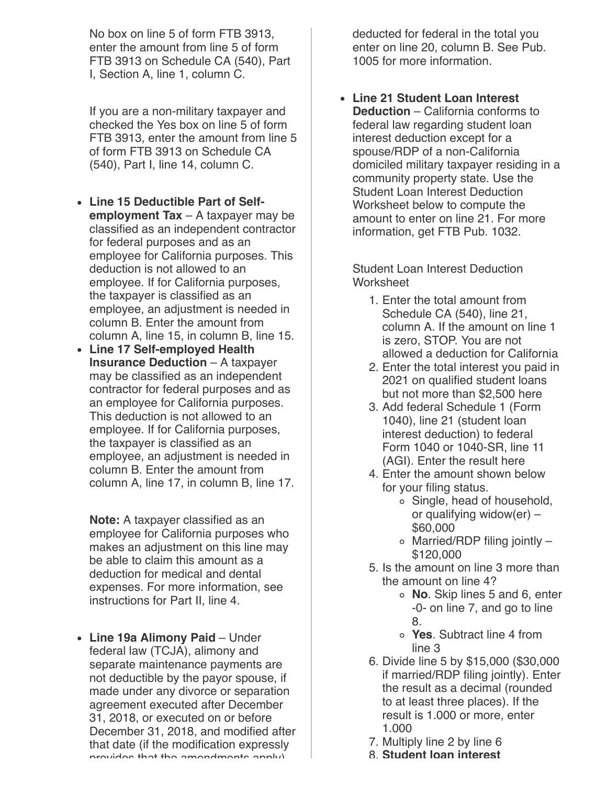No box on line 5 of form FTB 3913, enter the amount from line 5 of form FTB 3913 on Schedule CA (540), Part I, Section A, line 1, column C.

If you are a non-military taxpayer and checked the Yes box on line 5 of form FTB 3913, enter the amount from line 5 of form FTB 3913 on Schedule CA (540), Part I, line 14, column C.

- **Line 15 Deductible Part of Selfemployment Tax** – A taxpayer may be classified as an independent contractor for federal purposes and as an employee for California purposes. This deduction is not allowed to an employee. If for California purposes, the taxpayer is classified as an employee, an adjustment is needed in column B. Enter the amount from column A, line 15, in column B, line 15.
- **Line 17 Self-employed Health Insurance Deduction** – A taxpayer may be classified as an independent contractor for federal purposes and as an employee for California purposes. This deduction is not allowed to an employee. If for California purposes, the taxpayer is classified as an employee, an adjustment is needed in column B. Enter the amount from column A, line 17, in column B, line 17.

**Note:** A taxpayer classified as an employee for California purposes who makes an adjustment on this line may be able to claim this amount as a deduction for medical and dental expenses. For more information, see instructions for Part II, line 4.

**Line 19a Alimony Paid** – Under federal law (TCJA), alimony and separate maintenance payments are not deductible by the payor spouse, if made under any divorce or separation agreement executed after December 31, 2018, or executed on or before December 31, 2018, and modified after that date (if the modification expressly provides that the amendments apply)

deducted for federal in the total you enter on line 20, column B. See Pub. 1005 for more information.

**Line 21 Student Loan Interest Deduction** – California conforms to federal law regarding student loan interest deduction except for a spouse/RDP of a non-California domiciled military taxpayer residing in a community property state. Use the Student Loan Interest Deduction Worksheet below to compute the amount to enter on line 21. For more information, get FTB Pub. 1032.

Student Loan Interest Deduction **Worksheet** 

- 1. Enter the total amount from Schedule CA (540), line 21, column A. If the amount on line 1 is zero, STOP. You are not allowed a deduction for California
- 2. Enter the total interest you paid in 2021 on qualified student loans but not more than \$2,500 here
- 3. Add federal Schedule 1 (Form 1040), line 21 (student loan interest deduction) to federal Form 1040 or 1040-SR, line 11 (AGI). Enter the result here
- 4. Enter the amount shown below for your filing status.
	- Single, head of household, or qualifying widow(er) – \$60,000
	- $\circ$  Married/RDP filing jointly -\$120,000
- 5. Is the amount on line 3 more than the amount on line 4?
	- **No**. Skip lines 5 and 6, enter -0- on line 7, and go to line 8.
	- **Yes**. Subtract line 4 from line 3
- 6. Divide line 5 by \$15,000 (\$30,000 if married/RDP filing jointly). Enter the result as a decimal (rounded to at least three places). If the result is 1.000 or more, enter 1.000
- 7. Multiply line 2 by line 6
- 8. **Student loan interest**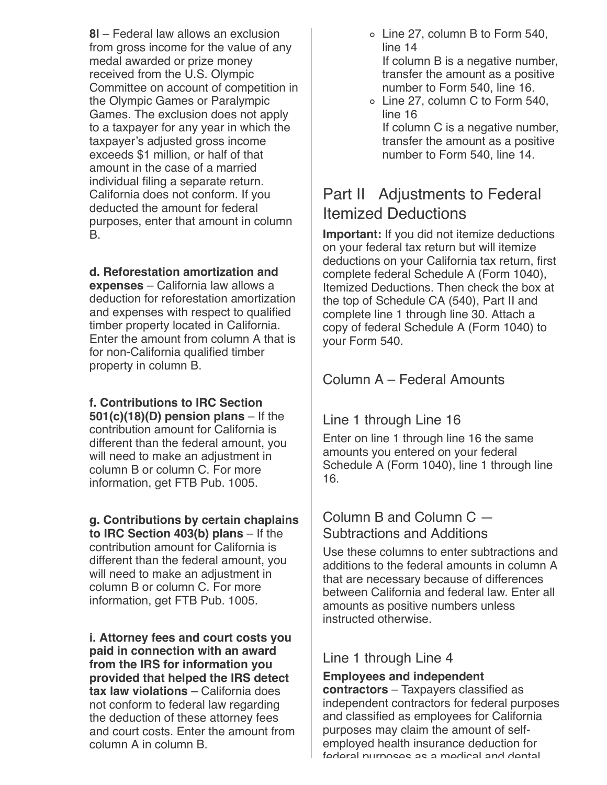**8l** – Federal law allows an exclusion from gross income for the value of any medal awarded or prize money received from the U.S. Olympic Committee on account of competition in the Olympic Games or Paralympic Games. The exclusion does not apply to a taxpayer for any year in which the taxpayer's adjusted gross income exceeds \$1 million, or half of that amount in the case of a married individual filing a separate return. California does not conform. If you deducted the amount for federal purposes, enter that amount in column B.

**d. Reforestation amortization and**

**expenses** – California law allows a deduction for reforestation amortization and expenses with respect to qualified timber property located in California. Enter the amount from column A that is for non-California qualified timber property in column B.

**f. Contributions to IRC Section 501(c)(18)(D) pension plans** – If the contribution amount for California is different than the federal amount, you will need to make an adjustment in column B or column C. For more information, get FTB Pub. 1005.

#### **g. Contributions by certain chaplains**

**to IRC Section 403(b) plans** – If the contribution amount for California is different than the federal amount, you will need to make an adjustment in column B or column C. For more information, get FTB Pub. 1005.

**i. Attorney fees and court costs you paid in connection with an award from the IRS for information you provided that helped the IRS detect tax law violations** – California does not conform to federal law regarding the deduction of these attorney fees and court costs. Enter the amount from column A in column B.

- Line 27, column B to Form 540, line 14 If column B is a negative number, transfer the amount as a positive
- number to Form 540, line 16. Line 27, column C to Form 540,
- line 16 If column C is a negative number, transfer the amount as a positive

number to Form 540, line 14.

# Part II Adjustments to Federal Itemized Deductions

**Important:** If you did not itemize deductions on your federal tax return but will itemize deductions on your California tax return, first complete federal Schedule A (Form 1040), Itemized Deductions. Then check the box at the top of Schedule CA (540), Part II and complete line 1 through line 30. Attach a copy of federal Schedule A (Form 1040) to your Form 540.

# Column A – Federal Amounts

# Line 1 through Line 16

Enter on line 1 through line 16 the same amounts you entered on your federal Schedule A (Form 1040), line 1 through line 16.

## Column B and Column C — Subtractions and Additions

Use these columns to enter subtractions and additions to the federal amounts in column A that are necessary because of differences between California and federal law. Enter all amounts as positive numbers unless instructed otherwise.

# Line 1 through Line 4

#### **Employees and independent**

**contractors** – Taxpayers classified as independent contractors for federal purposes and classified as employees for California purposes may claim the amount of selfemployed health insurance deduction for federal purposes as a medical and dental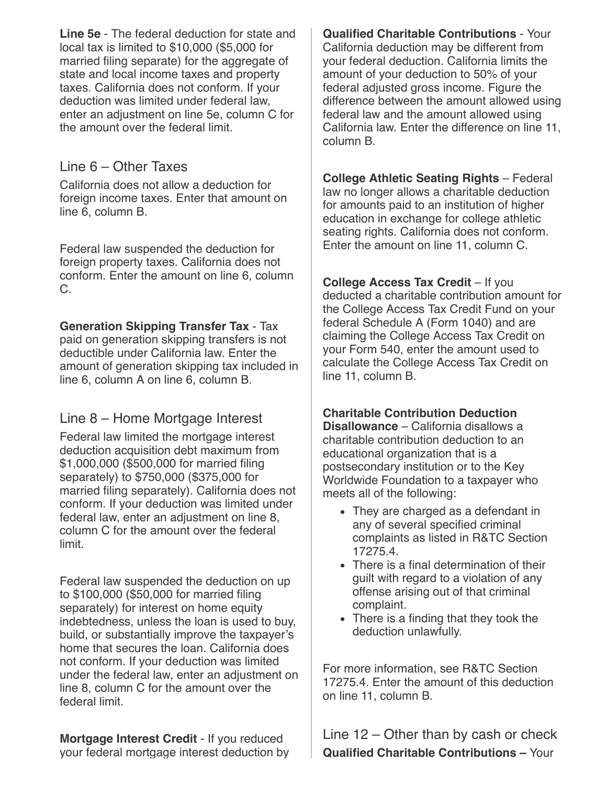**Line 5e** - The federal deduction for state and local tax is limited to \$10,000 (\$5,000 for married filing separate) for the aggregate of state and local income taxes and property taxes. California does not conform. If your deduction was limited under federal law, enter an adjustment on line 5e, column C for the amount over the federal limit.

### Line 6 – Other Taxes

California does not allow a deduction for foreign income taxes. Enter that amount on line 6, column B.

Federal law suspended the deduction for foreign property taxes. California does not conform. Enter the amount on line 6, column C.

#### **Generation Skipping Transfer Tax** - Tax

paid on generation skipping transfers is not deductible under California law. Enter the amount of generation skipping tax included in line 6, column A on line 6, column B.

# Line 8 – Home Mortgage Interest

Federal law limited the mortgage interest deduction acquisition debt maximum from \$1,000,000 (\$500,000 for married filing separately) to \$750,000 (\$375,000 for married filing separately). California does not conform. If your deduction was limited under federal law, enter an adjustment on line 8, column C for the amount over the federal limit.

Federal law suspended the deduction on up to \$100,000 (\$50,000 for married filing separately) for interest on home equity indebtedness, unless the loan is used to buy, build, or substantially improve the taxpayer's home that secures the loan. California does not conform. If your deduction was limited under the federal law, enter an adjustment on line 8, column C for the amount over the federal limit.

**Mortgage Interest Credit** - If you reduced your federal mortgage interest deduction by

**Qualified Charitable Contributions** - Your California deduction may be different from your federal deduction. California limits the amount of your deduction to 50% of your federal adjusted gross income. Figure the difference between the amount allowed using federal law and the amount allowed using California law. Enter the difference on line 11, column B.

**College Athletic Seating Rights** – Federal law no longer allows a charitable deduction for amounts paid to an institution of higher education in exchange for college athletic seating rights. California does not conform. Enter the amount on line 11, column C.

**College Access Tax Credit** – If you deducted a charitable contribution amount for the College Access Tax Credit Fund on your federal Schedule A (Form 1040) and are claiming the College Access Tax Credit on your Form 540, enter the amount used to calculate the College Access Tax Credit on line 11, column B.

#### **Charitable Contribution Deduction**

**Disallowance** – California disallows a charitable contribution deduction to an educational organization that is a postsecondary institution or to the Key Worldwide Foundation to a taxpayer who meets all of the following:

- They are charged as a defendant in any of several specified criminal complaints as listed in R&TC Section 17275.4.
- There is a final determination of their guilt with regard to a violation of any offense arising out of that criminal complaint.
- There is a finding that they took the deduction unlawfully.

For more information, see R&TC Section 17275.4. Enter the amount of this deduction on line 11, column B.

Line 12 – Other than by cash or check **Qualified Charitable Contributions –** Your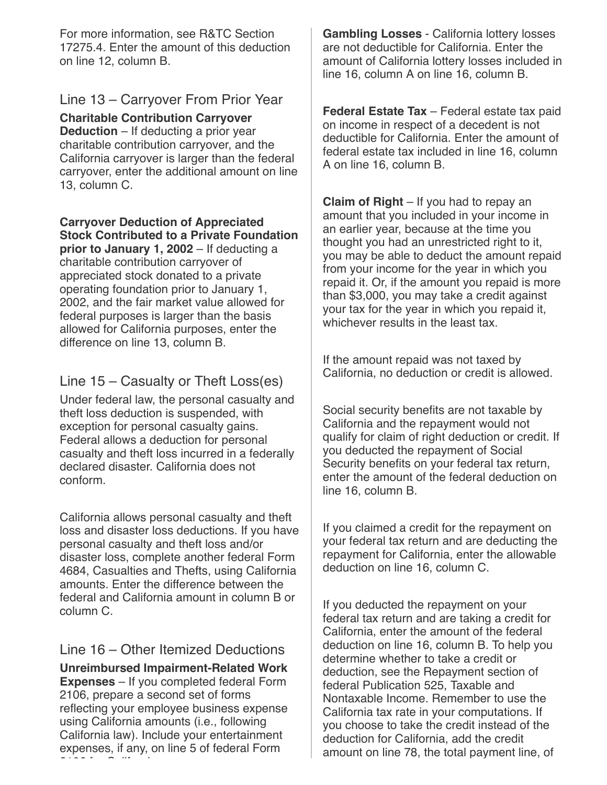For more information, see R&TC Section 17275.4. Enter the amount of this deduction on line 12, column B.

### Line 13 – Carryover From Prior Year

**Charitable Contribution Carryover Deduction** – If deducting a prior year charitable contribution carryover, and the California carryover is larger than the federal carryover, enter the additional amount on line 13, column C.

**Carryover Deduction of Appreciated Stock Contributed to a Private Foundation prior to January 1, 2002** – If deducting a charitable contribution carryover of appreciated stock donated to a private operating foundation prior to January 1, 2002, and the fair market value allowed for

federal purposes is larger than the basis allowed for California purposes, enter the difference on line 13, column B.

# Line 15 – Casualty or Theft Loss(es)

Under federal law, the personal casualty and theft loss deduction is suspended, with exception for personal casualty gains. Federal allows a deduction for personal casualty and theft loss incurred in a federally declared disaster. California does not conform.

California allows personal casualty and theft loss and disaster loss deductions. If you have personal casualty and theft loss and/or disaster loss, complete another federal Form 4684, Casualties and Thefts, using California amounts. Enter the difference between the federal and California amount in column B or column C.

# Line 16 – Other Itemized Deductions

**Unreimbursed Impairment-Related Work Expenses** – If you completed federal Form 2106, prepare a second set of forms reflecting your employee business expense using California amounts (i.e., following California law). Include your entertainment expenses, if any, on line 5 of federal Form 21221 f H

**Gambling Losses** - California lottery losses are not deductible for California. Enter the amount of California lottery losses included in line 16, column A on line 16, column B.

**Federal Estate Tax** – Federal estate tax paid on income in respect of a decedent is not deductible for California. Enter the amount of federal estate tax included in line 16, column A on line 16, column B.

**Claim of Right** – If you had to repay an amount that you included in your income in an earlier year, because at the time you thought you had an unrestricted right to it, you may be able to deduct the amount repaid from your income for the year in which you repaid it. Or, if the amount you repaid is more than \$3,000, you may take a credit against your tax for the year in which you repaid it, whichever results in the least tax.

If the amount repaid was not taxed by California, no deduction or credit is allowed.

Social security benefits are not taxable by California and the repayment would not qualify for claim of right deduction or credit. If you deducted the repayment of Social Security benefits on your federal tax return, enter the amount of the federal deduction on line 16, column B.

If you claimed a credit for the repayment on your federal tax return and are deducting the repayment for California, enter the allowable deduction on line 16, column C.

If you deducted the repayment on your federal tax return and are taking a credit for California, enter the amount of the federal deduction on line 16, column B. To help you determine whether to take a credit or deduction, see the Repayment section of federal Publication 525, Taxable and Nontaxable Income. Remember to use the California tax rate in your computations. If you choose to take the credit instead of the deduction for California, add the credit amount on line 78, the total payment line, of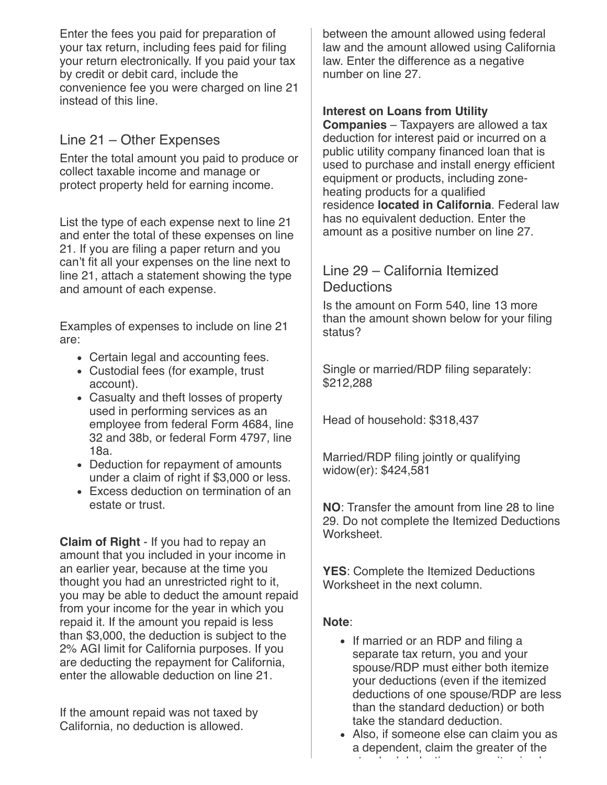Enter the fees you paid for preparation of your tax return, including fees paid for filing your return electronically. If you paid your tax by credit or debit card, include the convenience fee you were charged on line 21 instead of this line.

# Line 21 – Other Expenses

Enter the total amount you paid to produce or collect taxable income and manage or protect property held for earning income.

List the type of each expense next to line 21 and enter the total of these expenses on line 21. If you are filing a paper return and you can't fit all your expenses on the line next to line 21, attach a statement showing the type and amount of each expense.

Examples of expenses to include on line 21 are:

- Certain legal and accounting fees.
- Custodial fees (for example, trust account).
- Casualty and theft losses of property used in performing services as an employee from federal Form 4684, line 32 and 38b, or federal Form 4797, line 18a.
- Deduction for repayment of amounts under a claim of right if \$3,000 or less.
- Excess deduction on termination of an estate or trust.

**Claim of Right** - If you had to repay an amount that you included in your income in an earlier year, because at the time you thought you had an unrestricted right to it, you may be able to deduct the amount repaid from your income for the year in which you repaid it. If the amount you repaid is less than \$3,000, the deduction is subject to the 2% AGI limit for California purposes. If you are deducting the repayment for California, enter the allowable deduction on line 21.

If the amount repaid was not taxed by California, no deduction is allowed.

between the amount allowed using federal law and the amount allowed using California law. Enter the difference as a negative number on line 27.

#### **Interest on Loans from Utility**

**Companies** – Taxpayers are allowed a tax deduction for interest paid or incurred on a public utility company financed loan that is used to purchase and install energy efficient equipment or products, including zoneheating products for a qualified residence **located in California**. Federal law has no equivalent deduction. Enter the amount as a positive number on line 27.

## Line 29 – California Itemized **Deductions**

Is the amount on Form 540, line 13 more than the amount shown below for your filing status?

Single or married/RDP filing separately: \$212,288

Head of household: \$318,437

Married/RDP filing jointly or qualifying widow(er): \$424,581

**NO**: Transfer the amount from line 28 to line 29. Do not complete the Itemized Deductions **Worksheet** 

**YES**: Complete the Itemized Deductions Worksheet in the next column.

#### **Note**:

- If married or an RDP and filing a separate tax return, you and your spouse/RDP must either both itemize your deductions (even if the itemized deductions of one spouse/RDP are less than the standard deduction) or both take the standard deduction.
- Also, if someone else can claim you as a dependent, claim the greater of the t de deux de dite